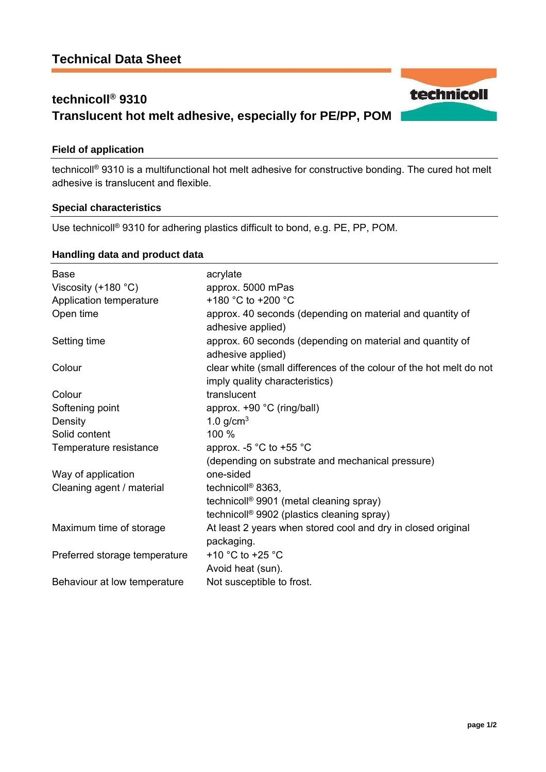# **technicoll® 9310 Translucent hot melt adhesive, especially for PE/PP, POM**

#### **Field of application**

technicoll® 9310 is a multifunctional hot melt adhesive for constructive bonding. The cured hot melt adhesive is translucent and flexible.

#### **Special characteristics**

Use technicoll® 9310 for adhering plastics difficult to bond, e.g. PE, PP, POM.

#### **Handling data and product data**

| <b>Base</b>                   | acrylate                                                                                              |
|-------------------------------|-------------------------------------------------------------------------------------------------------|
| Viscosity $(+180 °C)$         | approx. 5000 mPas                                                                                     |
| Application temperature       | +180 °C to +200 °C                                                                                    |
| Open time                     | approx. 40 seconds (depending on material and quantity of<br>adhesive applied)                        |
| Setting time                  | approx. 60 seconds (depending on material and quantity of<br>adhesive applied)                        |
| Colour                        | clear white (small differences of the colour of the hot melt do not<br>imply quality characteristics) |
| Colour                        | translucent                                                                                           |
| Softening point               | approx. +90 °C (ring/ball)                                                                            |
| Density                       | 1.0 $g/cm3$                                                                                           |
| Solid content                 | 100 %                                                                                                 |
| Temperature resistance        | approx. -5 $^{\circ}$ C to +55 $^{\circ}$ C                                                           |
|                               | (depending on substrate and mechanical pressure)                                                      |
| Way of application            | one-sided                                                                                             |
| Cleaning agent / material     | technicoll <sup>®</sup> 8363,                                                                         |
|                               | technicoll <sup>®</sup> 9901 (metal cleaning spray)                                                   |
|                               | technicoll <sup>®</sup> 9902 (plastics cleaning spray)                                                |
| Maximum time of storage       | At least 2 years when stored cool and dry in closed original                                          |
|                               | packaging.                                                                                            |
| Preferred storage temperature | +10 $^{\circ}$ C to +25 $^{\circ}$ C                                                                  |
|                               | Avoid heat (sun).                                                                                     |
| Behaviour at low temperature  | Not susceptible to frost.                                                                             |

technicoll